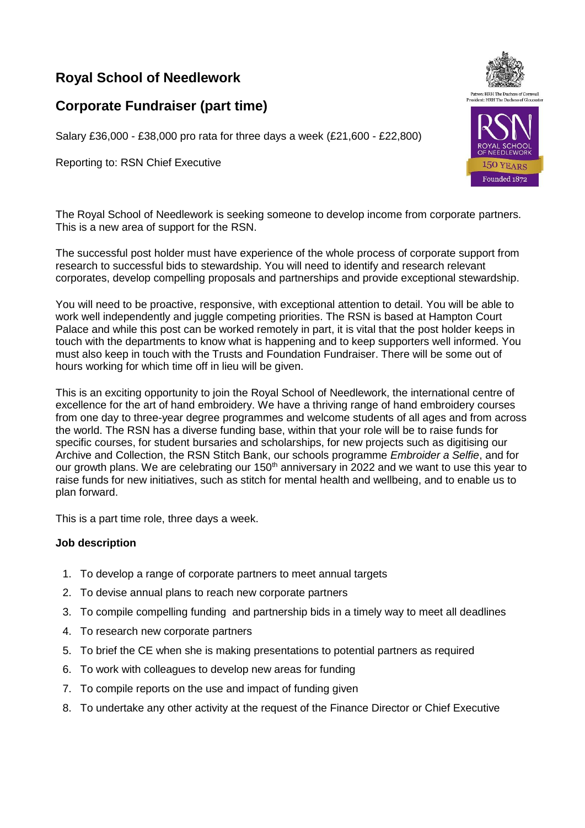## **Royal School of Needlework**

## **Corporate Fundraiser (part time)**

Salary £36,000 - £38,000 pro rata for three days a week (£21,600 - £22,800)

Reporting to: RSN Chief Executive

The Royal School of Needlework is seeking someone to develop income from corporate partners. This is a new area of support for the RSN.

The successful post holder must have experience of the whole process of corporate support from research to successful bids to stewardship. You will need to identify and research relevant corporates, develop compelling proposals and partnerships and provide exceptional stewardship.

You will need to be proactive, responsive, with exceptional attention to detail. You will be able to work well independently and juggle competing priorities. The RSN is based at Hampton Court Palace and while this post can be worked remotely in part, it is vital that the post holder keeps in touch with the departments to know what is happening and to keep supporters well informed. You must also keep in touch with the Trusts and Foundation Fundraiser. There will be some out of hours working for which time off in lieu will be given.

This is an exciting opportunity to join the Royal School of Needlework, the international centre of excellence for the art of hand embroidery. We have a thriving range of hand embroidery courses from one day to three-year degree programmes and welcome students of all ages and from across the world. The RSN has a diverse funding base, within that your role will be to raise funds for specific courses, for student bursaries and scholarships, for new projects such as digitising our Archive and Collection, the RSN Stitch Bank, our schools programme *Embroider a Selfie*, and for our growth plans. We are celebrating our 150<sup>th</sup> anniversary in 2022 and we want to use this year to raise funds for new initiatives, such as stitch for mental health and wellbeing, and to enable us to plan forward.

This is a part time role, three days a week.

## **Job description**

- 1. To develop a range of corporate partners to meet annual targets
- 2. To devise annual plans to reach new corporate partners
- 3. To compile compelling funding and partnership bids in a timely way to meet all deadlines
- 4. To research new corporate partners
- 5. To brief the CE when she is making presentations to potential partners as required
- 6. To work with colleagues to develop new areas for funding
- 7. To compile reports on the use and impact of funding given
- 8. To undertake any other activity at the request of the Finance Director or Chief Executive